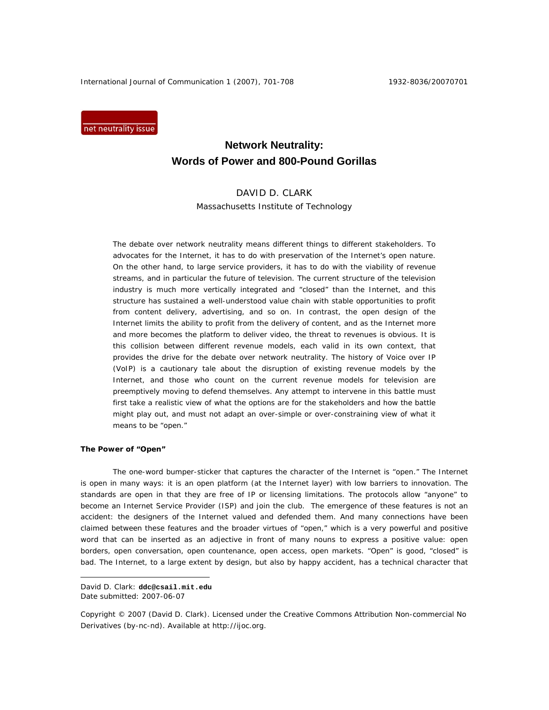International Journal of Communication 1 (2007), 701-708 1932-8036/20070701

net neutrality issue

# **Network Neutrality: Words of Power and 800-Pound Gorillas**

# DAVID D. CLARK

Massachusetts Institute of Technology

The debate over network neutrality means different things to different stakeholders. To advocates for the Internet, it has to do with preservation of the Internet's open nature. On the other hand, to large service providers, it has to do with the viability of revenue streams, and in particular the future of television. The current structure of the television industry is much more vertically integrated and "closed" than the Internet, and this structure has sustained a well-understood value chain with stable opportunities to profit from content delivery, advertising, and so on. In contrast, the open design of the Internet limits the ability to profit from the delivery of content, and as the Internet more and more becomes the platform to deliver video, the threat to revenues is obvious. It is this collision between different revenue models, each valid in its own context, that provides the drive for the debate over network neutrality. The history of Voice over IP (VoIP) is a cautionary tale about the disruption of existing revenue models by the Internet, and those who count on the current revenue models for television are preemptively moving to defend themselves. Any attempt to intervene in this battle must first take a realistic view of what the options are for the stakeholders and how the battle might play out, and must not adapt an over-simple or over-constraining view of what it means to be "open."

#### **The Power of "Open"**

 $\overline{a}$ 

The one-word bumper-sticker that captures the character of the Internet is "open." The Internet is open in many ways: it is an open platform (at the Internet layer) with low barriers to innovation. The standards are open in that they are free of IP or licensing limitations. The protocols allow "anyone" to become an Internet Service Provider (ISP) and join the club. The emergence of these features is not an accident: the designers of the Internet valued and defended them. And many connections have been claimed between these features and the broader virtues of "open," which is a very powerful and positive word that can be inserted as an adjective in front of many nouns to express a positive value: open borders, open conversation, open countenance, open access, open markets. "Open" is good, "closed" is bad. The Internet, to a large extent by design, but also by happy accident, has a technical character that

David D. Clark: **ddc@csail.mit.edu**  Date submitted: 2007-06-07

Copyright © 2007 (David D. Clark). Licensed under the Creative Commons Attribution Non-commercial No Derivatives (by-nc-nd). Available at http://ijoc.org.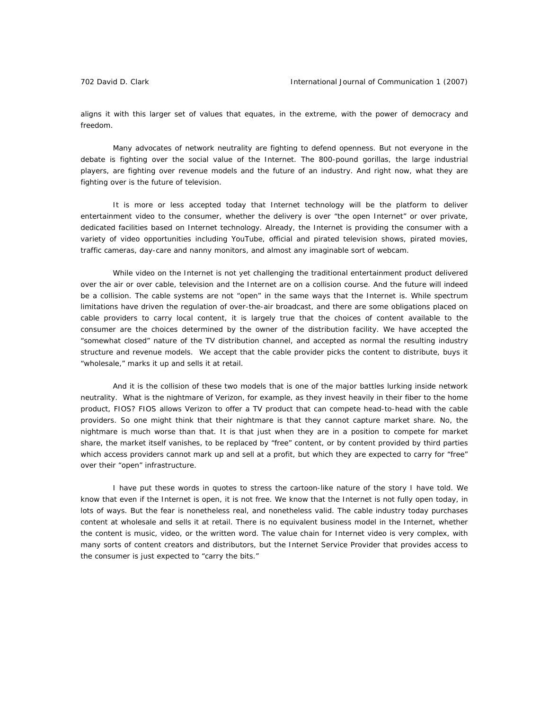aligns it with this larger set of values that equates, in the extreme, with the power of democracy and freedom.

Many advocates of network neutrality are fighting to defend openness. But not everyone in the debate is fighting over the social value of the Internet. The 800-pound gorillas, the large industrial players, are fighting over revenue models and the future of an industry. And right now, what they are fighting over is the future of television.

It is more or less accepted today that Internet technology will be the platform to deliver entertainment video to the consumer, whether the delivery is over "the open Internet" or over private, dedicated facilities based on Internet technology. Already, the Internet is providing the consumer with a variety of video opportunities including YouTube, official and pirated television shows, pirated movies, traffic cameras, day-care and nanny monitors, and almost any imaginable sort of webcam.

While video on the Internet is not yet challenging the traditional entertainment product delivered over the air or over cable, television and the Internet are on a collision course. And the future will indeed be a collision. The cable systems are not "open" in the same ways that the Internet is. While spectrum limitations have driven the regulation of over-the-air broadcast, and there are some obligations placed on cable providers to carry local content, it is largely true that the choices of content available to the consumer are the choices determined by the owner of the distribution facility. We have accepted the "somewhat closed" nature of the TV distribution channel, and accepted as normal the resulting industry structure and revenue models. We accept that the cable provider picks the content to distribute, buys it "wholesale," marks it up and sells it at retail.

And it is the collision of these two models that is one of the major battles lurking inside network neutrality. What is the nightmare of Verizon, for example, as they invest heavily in their fiber to the home product, FIOS? FIOS allows Verizon to offer a TV product that can compete head-to-head with the cable providers. So one might think that their nightmare is that they cannot capture market share. No, the nightmare is much worse than that. It is that just when they are in a position to compete for market share, the market itself vanishes, to be replaced by "free" content, or by content provided by third parties which access providers cannot mark up and sell at a profit, but which they are expected to carry for "free" over their "open" infrastructure.

I have put these words in quotes to stress the cartoon-like nature of the story I have told. We know that even if the Internet is open, it is not free. We know that the Internet is not fully open today, in lots of ways. But the fear is nonetheless real, and nonetheless valid. The cable industry today purchases content at wholesale and sells it at retail. There is no equivalent business model in the Internet, whether the content is music, video, or the written word. The value chain for Internet video is very complex, with many sorts of content creators and distributors, but the Internet Service Provider that provides access to the consumer is just expected to "carry the bits."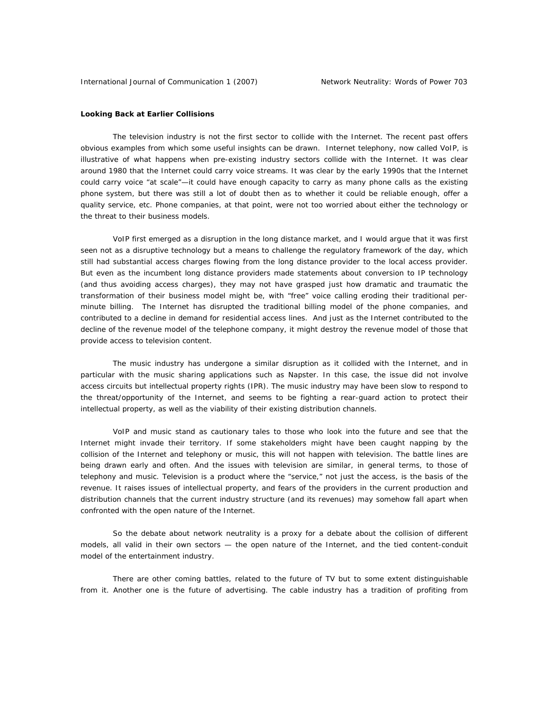## **Looking Back at Earlier Collisions**

The television industry is not the first sector to collide with the Internet. The recent past offers obvious examples from which some useful insights can be drawn. Internet telephony, now called VoIP, is illustrative of what happens when pre-existing industry sectors collide with the Internet. It was clear around 1980 that the Internet could carry voice streams. It was clear by the early 1990s that the Internet could carry voice "at scale"—it could have enough capacity to carry as many phone calls as the existing phone system, but there was still a lot of doubt then as to whether it could be reliable enough, offer a quality service, etc. Phone companies, at that point, were not too worried about either the technology or the threat to their business models.

VoIP first emerged as a disruption in the long distance market, and I would argue that it was first seen not as a disruptive technology but a means to challenge the regulatory framework of the day, which still had substantial access charges flowing from the long distance provider to the local access provider. But even as the incumbent long distance providers made statements about conversion to IP technology (and thus avoiding access charges), they may not have grasped just how dramatic and traumatic the transformation of their business model might be, with "free" voice calling eroding their traditional perminute billing. The Internet has disrupted the traditional billing model of the phone companies, and contributed to a decline in demand for residential access lines. And just as the Internet contributed to the decline of the revenue model of the telephone company, it might destroy the revenue model of those that provide access to television content.

The music industry has undergone a similar disruption as it collided with the Internet, and in particular with the music sharing applications such as Napster. In this case, the issue did not involve access circuits but intellectual property rights (IPR). The music industry may have been slow to respond to the threat/opportunity of the Internet, and seems to be fighting a rear-guard action to protect their intellectual property, as well as the viability of their existing distribution channels.

VoIP and music stand as cautionary tales to those who look into the future and see that the Internet might invade their territory. If some stakeholders might have been caught napping by the collision of the Internet and telephony or music, this will not happen with television. The battle lines are being drawn early and often. And the issues with television are similar, in general terms, to those of telephony and music. Television is a product where the "service," not just the access, is the basis of the revenue. It raises issues of intellectual property, and fears of the providers in the current production and distribution channels that the current industry structure (and its revenues) may somehow fall apart when confronted with the open nature of the Internet.

So the debate about network neutrality is a proxy for a debate about the collision of different models, all valid in their own sectors — the open nature of the Internet, and the tied content-conduit model of the entertainment industry.

There are other coming battles, related to the future of TV but to some extent distinguishable from it. Another one is the future of advertising. The cable industry has a tradition of profiting from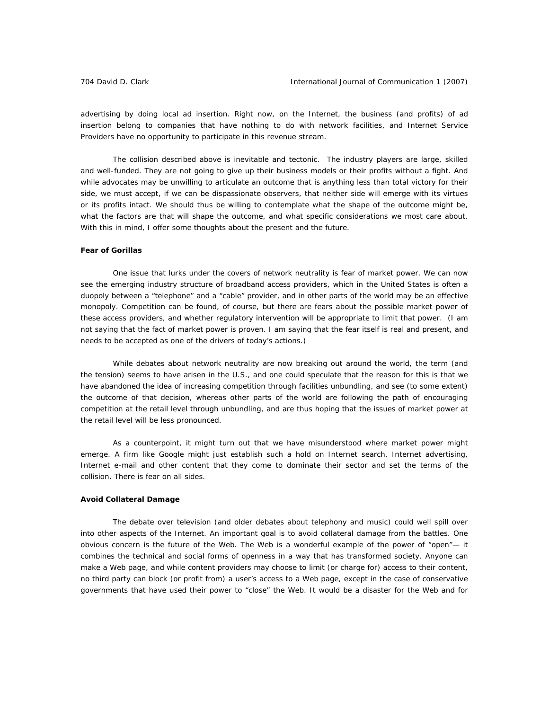advertising by doing local ad insertion. Right now, on the Internet, the business (and profits) of ad insertion belong to companies that have nothing to do with network facilities, and Internet Service Providers have no opportunity to participate in this revenue stream.

The collision described above is inevitable and tectonic. The industry players are large, skilled and well-funded. They are not going to give up their business models or their profits without a fight. And while advocates may be unwilling to articulate an outcome that is anything less than total victory for their side, we must accept, if we can be dispassionate observers, that neither side will emerge with its virtues or its profits intact. We should thus be willing to contemplate what the shape of the outcome might be, what the factors are that will shape the outcome, and what specific considerations we most care about. With this in mind, I offer some thoughts about the present and the future.

# **Fear of Gorillas**

One issue that lurks under the covers of network neutrality is fear of market power. We can now see the emerging industry structure of broadband access providers, which in the United States is often a duopoly between a "telephone" and a "cable" provider, and in other parts of the world may be an effective monopoly. Competition can be found, of course, but there are fears about the possible market power of these access providers, and whether regulatory intervention will be appropriate to limit that power. (I am not saying that the fact of market power is proven. I am saying that the fear itself is real and present, and needs to be accepted as one of the drivers of today's actions.)

While debates about network neutrality are now breaking out around the world, the term (and the tension) seems to have arisen in the U.S., and one could speculate that the reason for this is that we have abandoned the idea of increasing competition through facilities unbundling, and see (to some extent) the outcome of that decision, whereas other parts of the world are following the path of encouraging competition at the retail level through unbundling, and are thus hoping that the issues of market power at the retail level will be less pronounced.

As a counterpoint, it might turn out that we have misunderstood where market power might emerge. A firm like Google might just establish such a hold on Internet search, Internet advertising, Internet e-mail and other content that they come to dominate their sector and set the terms of the collision. There is fear on all sides.

#### **Avoid Collateral Damage**

The debate over television (and older debates about telephony and music) could well spill over into other aspects of the Internet. An important goal is to avoid collateral damage from the battles. One obvious concern is the future of the Web. The Web is a wonderful example of the power of "open"— it combines the technical and social forms of openness in a way that has transformed society. Anyone can make a Web page, and while content providers may choose to limit (or charge for) access to their content, no third party can block (or profit from) a user's access to a Web page, except in the case of conservative governments that have used their power to "close" the Web. It would be a disaster for the Web and for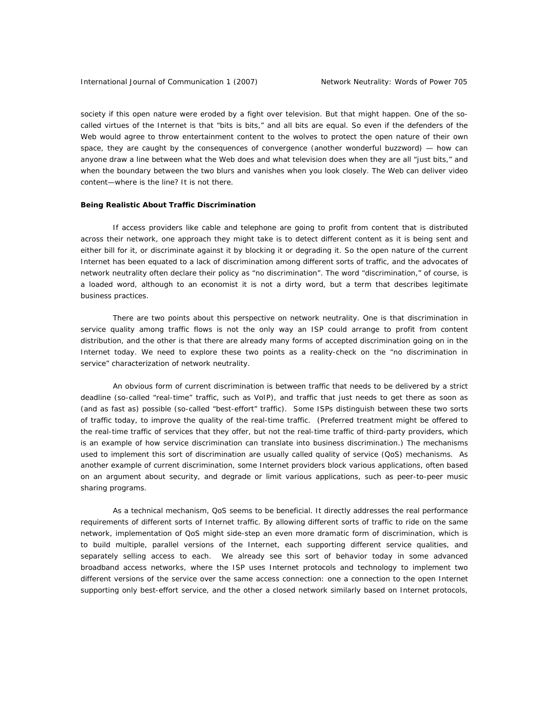society if this open nature were eroded by a fight over television. But that might happen. One of the socalled virtues of the Internet is that "bits is bits," and all bits are equal. So even if the defenders of the Web would agree to throw entertainment content to the wolves to protect the open nature of their own space, they are caught by the consequences of convergence (another wonderful buzzword) — how can anyone draw a line between what the Web does and what television does when they are all "just bits," and when the boundary between the two blurs and vanishes when you look closely. The Web can deliver video content—where is the line? It is not there.

#### **Being Realistic About Traffic Discrimination**

If access providers like cable and telephone are going to profit from content that is distributed across their network, one approach they might take is to detect different content as it is being sent and either bill for it, or discriminate against it by blocking it or degrading it. So the open nature of the current Internet has been equated to a lack of discrimination among different sorts of traffic, and the advocates of network neutrality often declare their policy as "no discrimination". The word "discrimination," of course, is a loaded word, although to an economist it is not a dirty word, but a term that describes legitimate business practices.

There are two points about this perspective on network neutrality. One is that discrimination in service quality among traffic flows is not the only way an ISP could arrange to profit from content distribution, and the other is that there are already many forms of accepted discrimination going on in the Internet today. We need to explore these two points as a reality-check on the "no discrimination in service" characterization of network neutrality.

An obvious form of current discrimination is between traffic that needs to be delivered by a strict deadline (so-called "real-time" traffic, such as VoIP), and traffic that just needs to get there as soon as (and as fast as) possible (so-called "best-effort" traffic). Some ISPs distinguish between these two sorts of traffic today, to improve the quality of the real-time traffic. (Preferred treatment might be offered to the real-time traffic of services that *they* offer, but not the real-time traffic of third-party providers, which is an example of how service discrimination can translate into business discrimination.) The mechanisms used to implement this sort of discrimination are usually called quality of service (QoS) mechanisms. As another example of current discrimination, some Internet providers block various applications, often based on an argument about security, and degrade or limit various applications, such as peer-to-peer music sharing programs.

As a technical mechanism, QoS seems to be beneficial. It directly addresses the real performance requirements of different sorts of Internet traffic. By allowing different sorts of traffic to ride on the same network, implementation of QoS might side-step an even more dramatic form of discrimination, which is to build multiple, parallel versions of the Internet, each supporting different service qualities, and separately selling access to each. We already see this sort of behavior today in some advanced broadband access networks, where the ISP uses Internet protocols and technology to implement two different versions of the service over the same access connection: one a connection to the open Internet supporting only best-effort service, and the other a closed network similarly based on Internet protocols,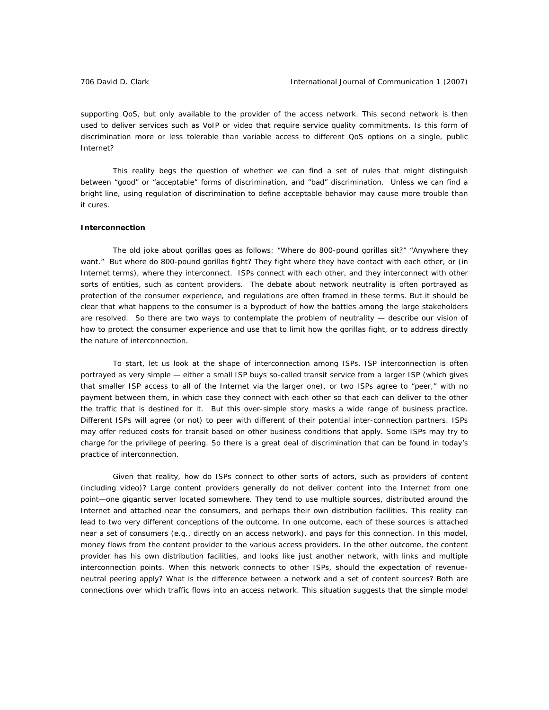supporting QoS, but only available to the provider of the access network. This second network is then used to deliver services such as VoIP or video that require service quality commitments. Is this form of discrimination more or less tolerable than variable access to different QoS options on a single, public Internet?

This reality begs the question of whether we can find a set of rules that might distinguish between "good" or "acceptable" forms of discrimination, and "bad" discrimination. Unless we can find a bright line, using regulation of discrimination to define acceptable behavior may cause more trouble than it cures.

# **Interconnection**

The old joke about gorillas goes as follows: "Where do 800-pound gorillas sit?" "Anywhere they want." But where do 800-pound gorillas fight? They fight where they have contact with each other, or (in Internet terms), where they interconnect. ISPs connect with each other, and they interconnect with other sorts of entities, such as content providers. The debate about network neutrality is often portrayed as protection of the consumer experience, and regulations are often framed in these terms. But it should be clear that what happens to the consumer is a byproduct of how the battles among the large stakeholders are resolved. So there are two ways to contemplate the problem of neutrality — describe our vision of how to protect the consumer experience and use that to limit how the gorillas fight, or to address directly the nature of interconnection.

To start, let us look at the shape of interconnection among ISPs. ISP interconnection is often portrayed as very simple — either a small ISP buys so-called transit service from a larger ISP (which gives that smaller ISP access to all of the Internet via the larger one), or two ISPs agree to "peer," with no payment between them, in which case they connect with each other so that each can deliver to the other the traffic that is destined for it. But this over-simple story masks a wide range of business practice. Different ISPs will agree (or not) to peer with different of their potential inter-connection partners. ISPs may offer reduced costs for transit based on other business conditions that apply. Some ISPs may try to charge for the privilege of peering. So there is a great deal of discrimination that can be found in today's practice of interconnection.

Given that reality, how do ISPs connect to other sorts of actors, such as providers of content (including video)? Large content providers generally do not deliver content into the Internet from one point—one gigantic server located somewhere. They tend to use multiple sources, distributed around the Internet and attached near the consumers, and perhaps their own distribution facilities. This reality can lead to two very different conceptions of the outcome. In one outcome, each of these sources is attached near a set of consumers (e.g., directly on an access network), and pays for this connection. In this model, money flows from the content provider to the various access providers. In the other outcome, the content provider has his own distribution facilities, and looks like just another network, with links and multiple interconnection points. When this network connects to other ISPs, should the expectation of revenueneutral peering apply? What is the difference between a network and a set of content sources? Both are connections over which traffic flows into an access network. This situation suggests that the simple model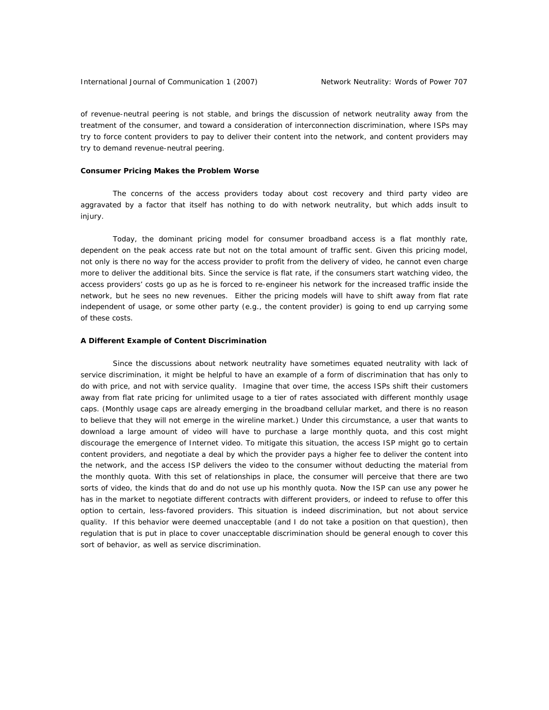of revenue-neutral peering is not stable, and brings the discussion of network neutrality away from the treatment of the consumer, and toward a consideration of interconnection discrimination, where ISPs may try to force content providers to pay to deliver their content into the network, and content providers may try to demand revenue-neutral peering.

#### **Consumer Pricing Makes the Problem Worse**

The concerns of the access providers today about cost recovery and third party video are aggravated by a factor that itself has nothing to do with network neutrality, but which adds insult to injury.

Today, the dominant pricing model for consumer broadband access is a flat monthly rate, dependent on the peak access rate but not on the total amount of traffic sent. Given this pricing model, not only is there no way for the access provider to profit from the delivery of video, he cannot even charge more to deliver the additional bits. Since the service is flat rate, if the consumers start watching video, the access providers' costs go up as he is forced to re-engineer his network for the increased traffic inside the network, but he sees no new revenues. Either the pricing models will have to shift away from flat rate independent of usage, or some other party (e.g., the content provider) is going to end up carrying some of these costs.

# **A Different Example of Content Discrimination**

Since the discussions about network neutrality have sometimes equated neutrality with lack of service discrimination, it might be helpful to have an example of a form of discrimination that has only to do with price, and not with service quality. Imagine that over time, the access ISPs shift their customers away from flat rate pricing for unlimited usage to a tier of rates associated with different monthly usage caps. (Monthly usage caps are already emerging in the broadband cellular market, and there is no reason to believe that they will not emerge in the wireline market.) Under this circumstance, a user that wants to download a large amount of video will have to purchase a large monthly quota, and this cost might discourage the emergence of Internet video. To mitigate this situation, the access ISP might go to certain content providers, and negotiate a deal by which the provider pays a higher fee to deliver the content into the network, and the access ISP delivers the video to the consumer without deducting the material from the monthly quota. With this set of relationships in place, the consumer will perceive that there are two sorts of video, the kinds that do and do not use up his monthly quota. Now the ISP can use any power he has in the market to negotiate different contracts with different providers, or indeed to refuse to offer this option to certain, less-favored providers. This situation is indeed discrimination, but not about service quality. If this behavior were deemed unacceptable (and I do not take a position on that question), then regulation that is put in place to cover unacceptable discrimination should be general enough to cover this sort of behavior, as well as service discrimination.